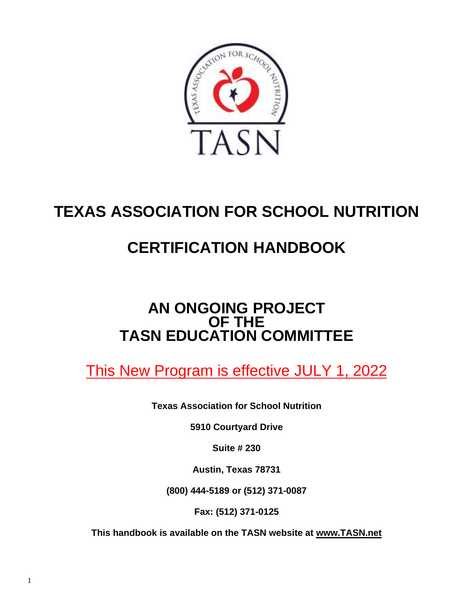

# **TEXAS ASSOCIATION FOR SCHOOL NUTRITION**

# **CERTIFICATION HANDBOOK**

## **AN ONGOING PROJECT OF THE TASN EDUCATION COMMITTEE**

This New Program is effective JULY 1, 2022

**Texas Association for School Nutrition**

**5910 Courtyard Drive**

**Suite # 230**

**Austin, Texas 78731**

**(800) 444-5189 or (512) 371-0087**

**Fax: (512) 371-0125**

**This handbook is available on the TASN website at www.TASN.net**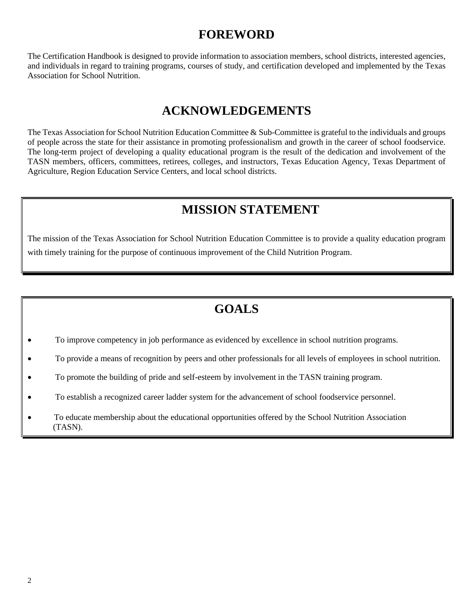## **FOREWORD**

The Certification Handbook is designed to provide information to association members, school districts, interested agencies, and individuals in regard to training programs, courses of study, and certification developed and implemented by the Texas Association for School Nutrition.

## **ACKNOWLEDGEMENTS**

The Texas Association for School Nutrition Education Committee & Sub-Committee is grateful to the individuals and groups of people across the state for their assistance in promoting professionalism and growth in the career of school foodservice. The long-term project of developing a quality educational program is the result of the dedication and involvement of the TASN members, officers, committees, retirees, colleges, and instructors, Texas Education Agency, Texas Department of Agriculture, Region Education Service Centers, and local school districts.

## **MISSION STATEMENT**

The mission of the Texas Association for School Nutrition Education Committee is to provide a quality education program with timely training for the purpose of continuous improvement of the Child Nutrition Program.

## **GOALS**

- To improve competency in job performance as evidenced by excellence in school nutrition programs.
- To provide a means of recognition by peers and other professionals for all levels of employees in school nutrition.
- To promote the building of pride and self-esteem by involvement in the TASN training program.
- To establish a recognized career ladder system for the advancement of school foodservice personnel.
- To educate membership about the educational opportunities offered by the School Nutrition Association (TASN).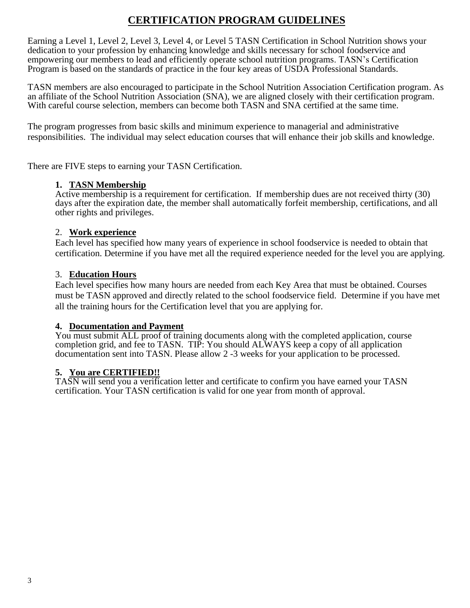## **CERTIFICATION PROGRAM GUIDELINES**

Earning a Level 1, Level 2, Level 3, Level 4, or Level 5 TASN Certification in School Nutrition shows your dedication to your profession by enhancing knowledge and skills necessary for school foodservice and empowering our members to lead and efficiently operate school nutrition programs. TASN's Certification Program is based on the standards of practice in the four key areas of USDA Professional Standards.

TASN members are also encouraged to participate in the School Nutrition Association Certification program. As an affiliate of the School Nutrition Association (SNA), we are aligned closely with their certification program. With careful course selection, members can become both TASN and SNA certified at the same time.

The program progresses from basic skills and minimum experience to managerial and administrative responsibilities. The individual may select education courses that will enhance their job skills and knowledge.

There are FIVE steps to earning your TASN Certification.

#### **1. TASN Membership**

Active membership is a requirement for certification. If membership dues are not received thirty (30) days after the expiration date, the member shall automatically forfeit membership, certifications, and all other rights and privileges.

#### 2. **Work experience**

Each level has specified how many years of experience in school foodservice is needed to obtain that certification. Determine if you have met all the required experience needed for the level you are applying.

#### 3. **Education Hours**

Each level specifies how many hours are needed from each Key Area that must be obtained. Courses must be TASN approved and directly related to the school foodservice field. Determine if you have met all the training hours for the Certification level that you are applying for.

#### **4. Documentation and Payment**

You must submit ALL proof of training documents along with the completed application, course completion grid, and fee to TASN. TIP: You should ALWAYS keep a copy of all application documentation sent into TASN. Please allow 2 -3 weeks for your application to be processed.

#### **5. You are CERTIFIED!!**

TASN will send you a verification letter and certificate to confirm you have earned your TASN certification. Your TASN certification is valid for one year from month of approval.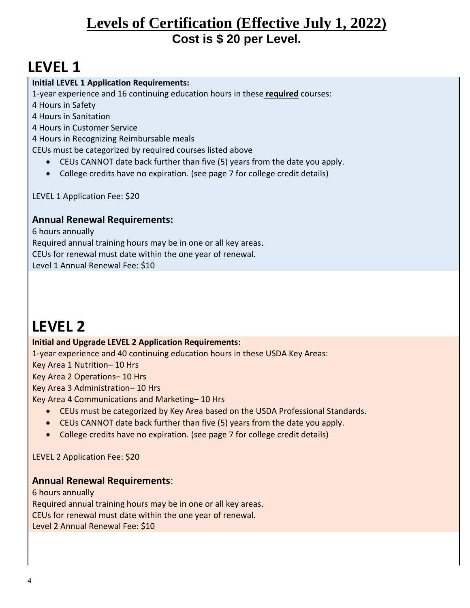## **Levels of Certification (Effective July 1, 2022) Cost is \$ 20 per Level.**

# **LEVEL 1**

#### **Initial LEVEL 1 Application Requirements:**

1-year experience and 16 continuing education hours in these **required** courses:

4 Hours in Safety

4 Hours in Sanitation

4 Hours in Customer Service

4 Hours in Recognizing Reimbursable meals

CEUs must be categorized by required courses listed above

- CEUs CANNOT date back further than five (5) years from the date you apply.
- College credits have no expiration. (see page 7 for college credit details)

LEVEL 1 Application Fee: \$20

#### **Annual Renewal Requirements:**

6 hours annually Required annual training hours may be in one or all key areas. CEUs for renewal must date within the one year of renewal. Level 1 Annual Renewal Fee: \$10

# **LEVEL 2**

#### **Initial and Upgrade LEVEL 2 Application Requirements:**

1-year experience and 40 continuing education hours in these USDA Key Areas:

Key Area 1 Nutrition– 10 Hrs

Key Area 2 Operations– 10 Hrs

Key Area 3 Administration– 10 Hrs

Key Area 4 Communications and Marketing– 10 Hrs

- CEUs must be categorized by Key Area based on the USDA Professional Standards.
- CEUs CANNOT date back further than five (5) years from the date you apply.
- College credits have no expiration. (see page 7 for college credit details)

LEVEL 2 Application Fee: \$20

#### **Annual Renewal Requirements**:

6 hours annually Required annual training hours may be in one or all key areas. CEUs for renewal must date within the one year of renewal. Level 2 Annual Renewal Fee: \$10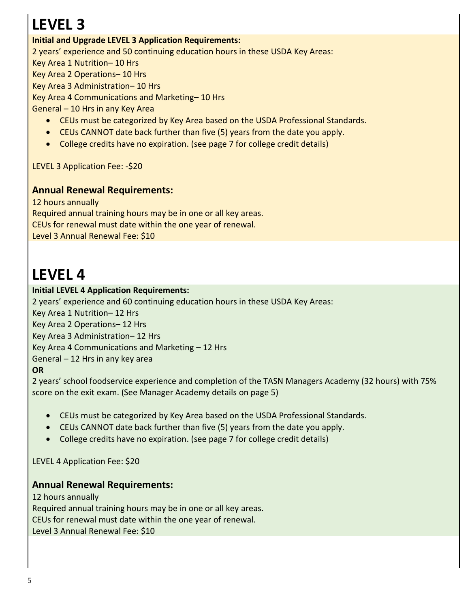# **LEVEL 3**

#### **Initial and Upgrade LEVEL 3 Application Requirements:**

2 years' experience and 50 continuing education hours in these USDA Key Areas:

Key Area 1 Nutrition– 10 Hrs

Key Area 2 Operations– 10 Hrs

Key Area 3 Administration– 10 Hrs

Key Area 4 Communications and Marketing– 10 Hrs

General – 10 Hrs in any Key Area

- CEUs must be categorized by Key Area based on the USDA Professional Standards.
- CEUs CANNOT date back further than five (5) years from the date you apply.
- College credits have no expiration. (see page 7 for college credit details)

LEVEL 3 Application Fee: -\$20

#### **Annual Renewal Requirements:**

12 hours annually Required annual training hours may be in one or all key areas. CEUs for renewal must date within the one year of renewal. Level 3 Annual Renewal Fee: \$10

# **LEVEL 4**

#### **Initial LEVEL 4 Application Requirements:**

2 years' experience and 60 continuing education hours in these USDA Key Areas:

Key Area 1 Nutrition– 12 Hrs

Key Area 2 Operations– 12 Hrs

Key Area 3 Administration– 12 Hrs

Key Area 4 Communications and Marketing – 12 Hrs

General – 12 Hrs in any key area

**OR**

2 years' school foodservice experience and completion of the TASN Managers Academy (32 hours) with 75% score on the exit exam. (See Manager Academy details on page 5)

- CEUs must be categorized by Key Area based on the USDA Professional Standards.
- CEUs CANNOT date back further than five (5) years from the date you apply.
- College credits have no expiration. (see page 7 for college credit details)

LEVEL 4 Application Fee: \$20

#### **Annual Renewal Requirements:**

12 hours annually Required annual training hours may be in one or all key areas. CEUs for renewal must date within the one year of renewal. Level 3 Annual Renewal Fee: \$10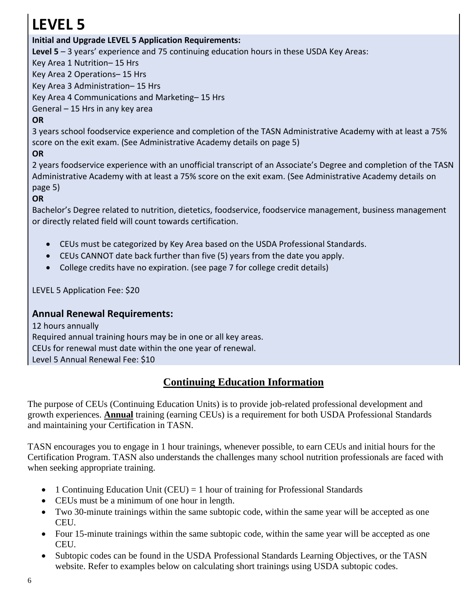# **LEVEL 5**

#### **Initial and Upgrade LEVEL 5 Application Requirements:**

**Level 5** – 3 years' experience and 75 continuing education hours in these USDA Key Areas:

Key Area 1 Nutrition– 15 Hrs

Key Area 2 Operations– 15 Hrs

Key Area 3 Administration– 15 Hrs

Key Area 4 Communications and Marketing– 15 Hrs

General – 15 Hrs in any key area

### **OR**

3 years school foodservice experience and completion of the TASN Administrative Academy with at least a 75% score on the exit exam. (See Administrative Academy details on page 5)

#### **OR**

2 years foodservice experience with an unofficial transcript of an Associate's Degree and completion of the TASN Administrative Academy with at least a 75% score on the exit exam. (See Administrative Academy details on page 5)

#### **OR**

Bachelor's Degree related to nutrition, dietetics, foodservice, foodservice management, business management or directly related field will count towards certification.

- CEUs must be categorized by Key Area based on the USDA Professional Standards.
- CEUs CANNOT date back further than five (5) years from the date you apply.
- College credits have no expiration. (see page 7 for college credit details)

LEVEL 5 Application Fee: \$20

#### **Annual Renewal Requirements:**

12 hours annually Required annual training hours may be in one or all key areas. CEUs for renewal must date within the one year of renewal. Level 5 Annual Renewal Fee: \$10

### **Continuing Education Information**

The purpose of CEUs (Continuing Education Units) is to provide job-related professional development and growth experiences. **Annual** training (earning CEUs) is a requirement for both USDA Professional Standards and maintaining your Certification in TASN.

TASN encourages you to engage in 1 hour trainings, whenever possible, to earn CEUs and initial hours for the Certification Program. TASN also understands the challenges many school nutrition professionals are faced with when seeking appropriate training.

- 1 Continuing Education Unit (CEU) = 1 hour of training for Professional Standards
- CEUs must be a minimum of one hour in length.
- Two 30-minute trainings within the same subtopic code, within the same year will be accepted as one CEU.
- Four 15-minute trainings within the same subtopic code, within the same year will be accepted as one CEU.
- Subtopic codes can be found in the USDA Professional Standards Learning Objectives, or the TASN website. Refer to examples below on calculating short trainings using USDA subtopic codes.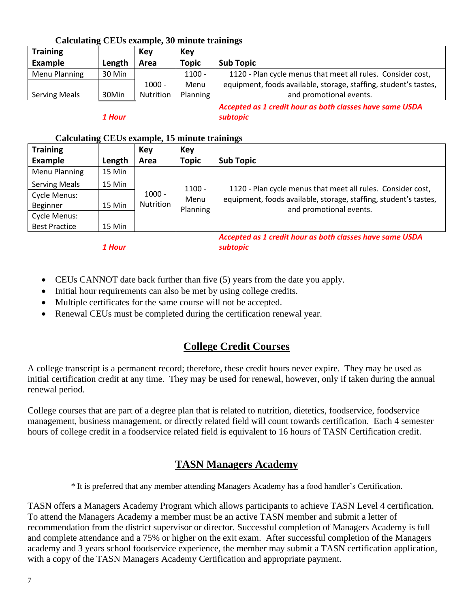| <u>Caicanthal CDCC Chambiol</u> |        |           |              |                                                                  |
|---------------------------------|--------|-----------|--------------|------------------------------------------------------------------|
| <b>Training</b>                 |        | Key       | Key          |                                                                  |
| Example                         | Length | Area      | <b>Topic</b> | <b>Sub Topic</b>                                                 |
| Menu Planning                   | 30 Min |           | $1100 -$     | 1120 - Plan cycle menus that meet all rules. Consider cost,      |
|                                 |        | $1000 -$  | Menu         | equipment, foods available, storage, staffing, student's tastes, |
| <b>Serving Meals</b>            | 30Min  | Nutrition | Planning     | and promotional events.                                          |
|                                 |        |           |              | Accepted as 1 credit hour as both classes have same USDA         |

*1 Hour*

*Accepted as 1 credit hour as both classes have same USDA subtopic*

#### **Calculating CEUs example, 15 minute trainings**

**Calculating CEUs example, 30 minute trainings**

| <b>Training</b>      |        | Key              | Key          |                                                                  |
|----------------------|--------|------------------|--------------|------------------------------------------------------------------|
| <b>Example</b>       | Length | Area             | <b>Topic</b> | <b>Sub Topic</b>                                                 |
| <b>Menu Planning</b> | 15 Min |                  |              |                                                                  |
| <b>Serving Meals</b> | 15 Min |                  | $1100 -$     | 1120 - Plan cycle menus that meet all rules. Consider cost,      |
| <b>Cycle Menus:</b>  |        | $1000 -$         | Menu         | equipment, foods available, storage, staffing, student's tastes, |
| Beginner             | 15 Min | <b>Nutrition</b> | Planning     | and promotional events.                                          |
| Cycle Menus:         |        |                  |              |                                                                  |
| <b>Best Practice</b> | 15 Min |                  |              |                                                                  |
|                      |        |                  |              | Accountable at available we hath classes house square UCDA.      |

*1 Hour*

*Accepted as 1 credit hour as both classes have same USDA subtopic*

- CEUs CANNOT date back further than five (5) years from the date you apply.
- Initial hour requirements can also be met by using college credits.
- Multiple certificates for the same course will not be accepted.
- Renewal CEUs must be completed during the certification renewal year.

### **College Credit Courses**

A college transcript is a permanent record; therefore, these credit hours never expire. They may be used as initial certification credit at any time. They may be used for renewal, however, only if taken during the annual renewal period.

College courses that are part of a degree plan that is related to nutrition, dietetics, foodservice, foodservice management, business management, or directly related field will count towards certification. Each 4 semester hours of college credit in a foodservice related field is equivalent to 16 hours of TASN Certification credit.

### **TASN Managers Academy**

*\** It is preferred that any member attending Managers Academy has a food handler's Certification.

TASN offers a Managers Academy Program which allows participants to achieve TASN Level 4 certification. To attend the Managers Academy a member must be an active TASN member and submit a letter of recommendation from the district supervisor or director. Successful completion of Managers Academy is full and complete attendance and a 75% or higher on the exit exam. After successful completion of the Managers academy and 3 years school foodservice experience, the member may submit a TASN certification application, with a copy of the TASN Managers Academy Certification and appropriate payment.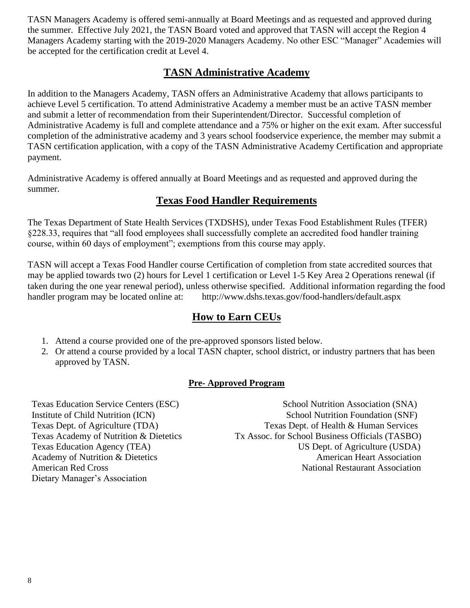TASN Managers Academy is offered semi-annually at Board Meetings and as requested and approved during the summer. Effective July 2021, the TASN Board voted and approved that TASN will accept the Region 4 Managers Academy starting with the 2019-2020 Managers Academy. No other ESC "Manager" Academies will be accepted for the certification credit at Level 4.

### **TASN Administrative Academy**

In addition to the Managers Academy, TASN offers an Administrative Academy that allows participants to achieve Level 5 certification. To attend Administrative Academy a member must be an active TASN member and submit a letter of recommendation from their Superintendent/Director. Successful completion of Administrative Academy is full and complete attendance and a 75% or higher on the exit exam. After successful completion of the administrative academy and 3 years school foodservice experience, the member may submit a TASN certification application, with a copy of the TASN Administrative Academy Certification and appropriate payment.

Administrative Academy is offered annually at Board Meetings and as requested and approved during the summer.

### **Texas Food Handler Requirements**

The Texas Department of State Health Services (TXDSHS), under Texas Food Establishment Rules (TFER) §228.33, requires that "all food employees shall successfully complete an accredited food handler training course, within 60 days of employment"; exemptions from this course may apply.

TASN will accept a Texas Food Handler course Certification of completion from state accredited sources that may be applied towards two (2) hours for Level 1 certification or Level 1-5 Key Area 2 Operations renewal (if taken during the one year renewal period), unless otherwise specified. Additional information regarding the food handler program may be located online at: http://www.dshs.texas.gov/food-handlers/default.aspx

#### **How to Earn CEUs**

- 1. Attend a course provided one of the pre-approved sponsors listed below.
- 2. Or attend a course provided by a local TASN chapter, school district, or industry partners that has been approved by TASN.

#### **Pre- Approved Program**

Dietary Manager's Association

Texas Education Service Centers (ESC) School Nutrition Association (SNA) Institute of Child Nutrition (ICN) School Nutrition Foundation (SNF) Texas Dept. of Agriculture (TDA) Texas Dept. of Health & Human Services Texas Academy of Nutrition & Dietetics Tx Assoc. for School Business Officials (TASBO) Texas Education Agency (TEA) US Dept. of Agriculture (USDA) Academy of Nutrition & Dietetics American Heart Association American Red Cross **National Restaurant Association**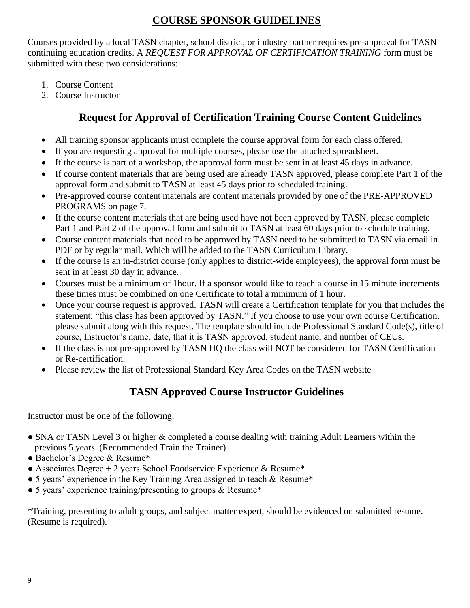### **COURSE SPONSOR GUIDELINES**

Courses provided by a local TASN chapter, school district, or industry partner requires pre-approval for TASN continuing education credits. A *REQUEST FOR APPROVAL OF CERTIFICATION TRAINING* form must be submitted with these two considerations:

- 1. Course Content
- 2. Course Instructor

## **Request for Approval of Certification Training Course Content Guidelines**

- All training sponsor applicants must complete the course approval form for each class offered.
- If you are requesting approval for multiple courses, please use the attached spreadsheet.
- If the course is part of a workshop, the approval form must be sent in at least 45 days in advance.
- If course content materials that are being used are already TASN approved, please complete Part 1 of the approval form and submit to TASN at least 45 days prior to scheduled training.
- Pre-approved course content materials are content materials provided by one of the PRE-APPROVED PROGRAMS on page 7.
- If the course content materials that are being used have not been approved by TASN, please complete Part 1 and Part 2 of the approval form and submit to TASN at least 60 days prior to schedule training.
- Course content materials that need to be approved by TASN need to be submitted to TASN via email in PDF or by regular mail. Which will be added to the TASN Curriculum Library.
- If the course is an in-district course (only applies to district-wide employees), the approval form must be sent in at least 30 day in advance.
- Courses must be a minimum of 1hour. If a sponsor would like to teach a course in 15 minute increments these times must be combined on one Certificate to total a minimum of 1 hour.
- Once your course request is approved. TASN will create a Certification template for you that includes the statement: "this class has been approved by TASN." If you choose to use your own course Certification, please submit along with this request. The template should include Professional Standard Code(s), title of course, Instructor's name, date, that it is TASN approved, student name, and number of CEUs.
- If the class is not pre-approved by TASN HQ the class will NOT be considered for TASN Certification or Re-certification.
- Please review the list of Professional Standard Key Area Codes on the TASN website

## **TASN Approved Course Instructor Guidelines**

Instructor must be one of the following:

- SNA or TASN Level 3 or higher & completed a course dealing with training Adult Learners within the previous 5 years. (Recommended Train the Trainer)
- Bachelor's Degree & Resume\*
- Associates Degree + 2 years School Foodservice Experience & Resume\*
- 5 years' experience in the Key Training Area assigned to teach & Resume\*
- 5 years' experience training/presenting to groups & Resume\*

\*Training, presenting to adult groups, and subject matter expert, should be evidenced on submitted resume. (Resume is required).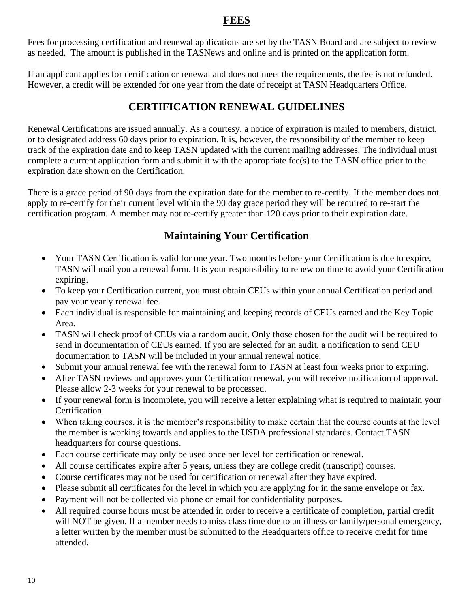### **FEES**

Fees for processing certification and renewal applications are set by the TASN Board and are subject to review as needed. The amount is published in the TASNews and online and is printed on the application form.

If an applicant applies for certification or renewal and does not meet the requirements, the fee is not refunded. However, a credit will be extended for one year from the date of receipt at TASN Headquarters Office.

### **CERTIFICATION RENEWAL GUIDELINES**

Renewal Certifications are issued annually. As a courtesy, a notice of expiration is mailed to members, district, or to designated address 60 days prior to expiration. It is, however, the responsibility of the member to keep track of the expiration date and to keep TASN updated with the current mailing addresses. The individual must complete a current application form and submit it with the appropriate fee(s) to the TASN office prior to the expiration date shown on the Certification.

There is a grace period of 90 days from the expiration date for the member to re-certify. If the member does not apply to re-certify for their current level within the 90 day grace period they will be required to re-start the certification program. A member may not re-certify greater than 120 days prior to their expiration date.

## **Maintaining Your Certification**

- Your TASN Certification is valid for one year. Two months before your Certification is due to expire, TASN will mail you a renewal form. It is your responsibility to renew on time to avoid your Certification expiring.
- To keep your Certification current, you must obtain CEUs within your annual Certification period and pay your yearly renewal fee.
- Each individual is responsible for maintaining and keeping records of CEUs earned and the Key Topic Area.
- TASN will check proof of CEUs via a random audit. Only those chosen for the audit will be required to send in documentation of CEUs earned. If you are selected for an audit, a notification to send CEU documentation to TASN will be included in your annual renewal notice.
- Submit your annual renewal fee with the renewal form to TASN at least four weeks prior to expiring.
- After TASN reviews and approves your Certification renewal, you will receive notification of approval. Please allow 2-3 weeks for your renewal to be processed.
- If your renewal form is incomplete, you will receive a letter explaining what is required to maintain your Certification.
- When taking courses, it is the member's responsibility to make certain that the course counts at the level the member is working towards and applies to the USDA professional standards. Contact TASN headquarters for course questions.
- Each course certificate may only be used once per level for certification or renewal.
- All course certificates expire after 5 years, unless they are college credit (transcript) courses.
- Course certificates may not be used for certification or renewal after they have expired.
- Please submit all certificates for the level in which you are applying for in the same envelope or fax.
- Payment will not be collected via phone or email for confidentiality purposes.
- All required course hours must be attended in order to receive a certificate of completion, partial credit will NOT be given. If a member needs to miss class time due to an illness or family/personal emergency, a letter written by the member must be submitted to the Headquarters office to receive credit for time attended.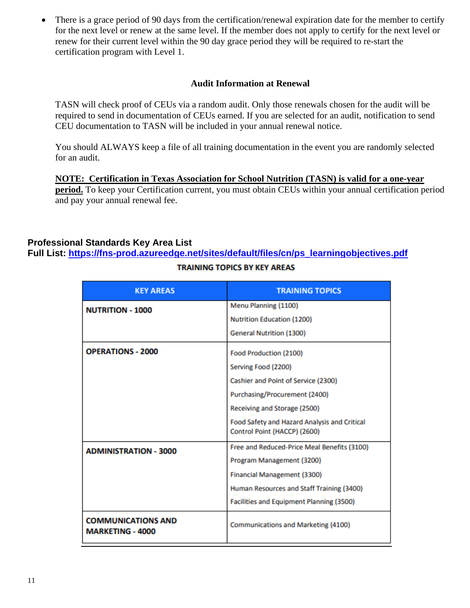There is a grace period of 90 days from the certification/renewal expiration date for the member to certify for the next level or renew at the same level. If the member does not apply to certify for the next level or renew for their current level within the 90 day grace period they will be required to re-start the certification program with Level 1.

#### **Audit Information at Renewal**

TASN will check proof of CEUs via a random audit. Only those renewals chosen for the audit will be required to send in documentation of CEUs earned. If you are selected for an audit, notification to send CEU documentation to TASN will be included in your annual renewal notice.

You should ALWAYS keep a file of all training documentation in the event you are randomly selected for an audit.

**NOTE: Certification in Texas Association for School Nutrition (TASN) is valid for a one-year period.** To keep your Certification current, you must obtain CEUs within your annual certification period and pay your annual renewal fee.

#### **Professional Standards Key Area List**

**Full List: [https://fns-prod.azureedge.net/sites/default/files/cn/ps\\_learningobjectives.pdf](https://fns-prod.azureedge.net/sites/default/files/cn/ps_learningobjectives.pdf)**

| <b>KEY AREAS</b>                                     | <b>TRAINING TOPICS</b>                                                       |
|------------------------------------------------------|------------------------------------------------------------------------------|
| <b>NUTRITION - 1000</b>                              | Menu Planning (1100)                                                         |
|                                                      | Nutrition Education (1200)                                                   |
|                                                      | <b>General Nutrition (1300)</b>                                              |
| <b>OPERATIONS - 2000</b>                             | Food Production (2100)                                                       |
|                                                      | Serving Food (2200)                                                          |
|                                                      | Cashier and Point of Service (2300)                                          |
|                                                      | Purchasing/Procurement (2400)                                                |
|                                                      | Receiving and Storage (2500)                                                 |
|                                                      | Food Safety and Hazard Analysis and Critical<br>Control Point (HACCP) (2600) |
|                                                      | Free and Reduced-Price Meal Benefits (3100)                                  |
| <b>ADMINISTRATION - 3000</b>                         | Program Management (3200)                                                    |
|                                                      | Financial Management (3300)                                                  |
|                                                      | Human Resources and Staff Training (3400)                                    |
|                                                      | Facilities and Equipment Planning (3500)                                     |
| <b>COMMUNICATIONS AND</b><br><b>MARKETING - 4000</b> | Communications and Marketing (4100)                                          |

#### **TRAINING TOPICS BY KEY AREAS**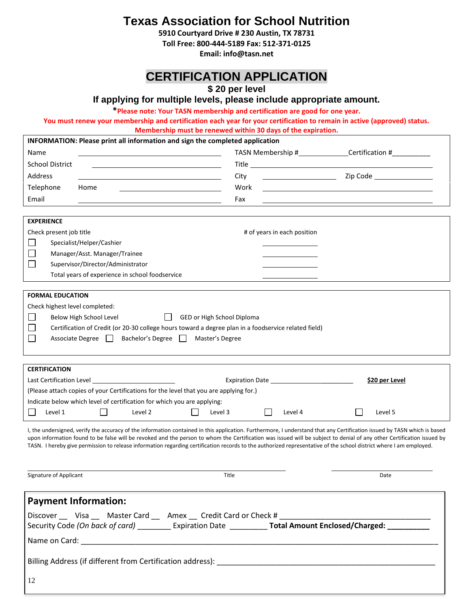**Texas Association for School Nutrition**

**5910 Courtyard Drive # 230 Austin, TX 78731**

**Toll Free: 800-444-5189 Fax: 512-371-0125**

**Email: info@tasn.net**

## **CERTIFICATION APPLICATION**

**\$ 20 per level**

**If applying for multiple levels, please include appropriate amount.**

**\*Please note: Your TASN membership and certification are good for one year.** 

**You must renew your membership and certification each year for your certification to remain in active (approved) status.** 

**Membership must be renewed within 30 days of the expiration.**

|                   |                         |                                                   | INFORMATION: Please print all information and sign the completed application                         |              |                            |                             |  |                                                                                                                                                                                                                                                                                                                                                                                                                                                                                                                         |
|-------------------|-------------------------|---------------------------------------------------|------------------------------------------------------------------------------------------------------|--------------|----------------------------|-----------------------------|--|-------------------------------------------------------------------------------------------------------------------------------------------------------------------------------------------------------------------------------------------------------------------------------------------------------------------------------------------------------------------------------------------------------------------------------------------------------------------------------------------------------------------------|
| Name              |                         |                                                   |                                                                                                      |              |                            |                             |  | TASN Membership #_______________Certification #____________                                                                                                                                                                                                                                                                                                                                                                                                                                                             |
|                   | <b>School District</b>  |                                                   |                                                                                                      |              |                            |                             |  |                                                                                                                                                                                                                                                                                                                                                                                                                                                                                                                         |
| Address           |                         |                                                   |                                                                                                      |              | City                       |                             |  |                                                                                                                                                                                                                                                                                                                                                                                                                                                                                                                         |
| Telephone         |                         | Home                                              |                                                                                                      |              | Work                       |                             |  |                                                                                                                                                                                                                                                                                                                                                                                                                                                                                                                         |
| Email             |                         |                                                   |                                                                                                      |              | Fax                        |                             |  |                                                                                                                                                                                                                                                                                                                                                                                                                                                                                                                         |
|                   |                         |                                                   |                                                                                                      |              |                            |                             |  |                                                                                                                                                                                                                                                                                                                                                                                                                                                                                                                         |
| <b>EXPERIENCE</b> |                         |                                                   |                                                                                                      |              |                            |                             |  |                                                                                                                                                                                                                                                                                                                                                                                                                                                                                                                         |
|                   | Check present job title |                                                   |                                                                                                      |              |                            | # of years in each position |  |                                                                                                                                                                                                                                                                                                                                                                                                                                                                                                                         |
|                   |                         | Specialist/Helper/Cashier                         |                                                                                                      |              |                            |                             |  |                                                                                                                                                                                                                                                                                                                                                                                                                                                                                                                         |
|                   |                         | Manager/Asst. Manager/Trainee                     |                                                                                                      |              |                            |                             |  |                                                                                                                                                                                                                                                                                                                                                                                                                                                                                                                         |
|                   |                         | Supervisor/Director/Administrator                 |                                                                                                      |              |                            |                             |  |                                                                                                                                                                                                                                                                                                                                                                                                                                                                                                                         |
|                   |                         |                                                   | Total years of experience in school foodservice                                                      |              |                            |                             |  |                                                                                                                                                                                                                                                                                                                                                                                                                                                                                                                         |
|                   |                         |                                                   |                                                                                                      |              |                            |                             |  |                                                                                                                                                                                                                                                                                                                                                                                                                                                                                                                         |
|                   | <b>FORMAL EDUCATION</b> |                                                   |                                                                                                      |              |                            |                             |  |                                                                                                                                                                                                                                                                                                                                                                                                                                                                                                                         |
|                   |                         | Check highest level completed:                    |                                                                                                      |              |                            |                             |  |                                                                                                                                                                                                                                                                                                                                                                                                                                                                                                                         |
|                   |                         | Below High School Level                           |                                                                                                      |              | GED or High School Diploma |                             |  |                                                                                                                                                                                                                                                                                                                                                                                                                                                                                                                         |
|                   |                         |                                                   | Certification of Credit (or 20-30 college hours toward a degree plan in a foodservice related field) |              |                            |                             |  |                                                                                                                                                                                                                                                                                                                                                                                                                                                                                                                         |
|                   |                         | Associate Degree                                  | Bachelor's Degree                                                                                    | $\mathbf{1}$ | Master's Degree            |                             |  |                                                                                                                                                                                                                                                                                                                                                                                                                                                                                                                         |
|                   |                         |                                                   |                                                                                                      |              |                            |                             |  |                                                                                                                                                                                                                                                                                                                                                                                                                                                                                                                         |
|                   | <b>CERTIFICATION</b>    |                                                   |                                                                                                      |              |                            |                             |  |                                                                                                                                                                                                                                                                                                                                                                                                                                                                                                                         |
|                   |                         | Last Certification Level Last Certification Level |                                                                                                      |              |                            |                             |  | \$20 per Level                                                                                                                                                                                                                                                                                                                                                                                                                                                                                                          |
|                   |                         |                                                   | (Please attach copies of your Certifications for the level that you are applying for.)               |              |                            |                             |  |                                                                                                                                                                                                                                                                                                                                                                                                                                                                                                                         |
|                   |                         |                                                   | Indicate below which level of certification for which you are applying:                              |              |                            |                             |  |                                                                                                                                                                                                                                                                                                                                                                                                                                                                                                                         |
|                   | Level 1                 | $\overline{\phantom{0}}$                          | Level 2                                                                                              |              | Level 3                    | Level 4                     |  | Level 5                                                                                                                                                                                                                                                                                                                                                                                                                                                                                                                 |
|                   |                         |                                                   |                                                                                                      |              |                            |                             |  | I, the undersigned, verify the accuracy of the information contained in this application. Furthermore, I understand that any Certification issued by TASN which is based<br>upon information found to be false will be revoked and the person to whom the Certification was issued will be subject to denial of any other Certification issued by<br>TASN. I hereby give permission to release information regarding certification records to the authorized representative of the school district where I am employed. |
|                   | Signature of Applicant  |                                                   |                                                                                                      |              | Title                      |                             |  | Date                                                                                                                                                                                                                                                                                                                                                                                                                                                                                                                    |
|                   |                         |                                                   |                                                                                                      |              |                            |                             |  |                                                                                                                                                                                                                                                                                                                                                                                                                                                                                                                         |
|                   |                         | <b>Payment Information:</b>                       |                                                                                                      |              |                            |                             |  |                                                                                                                                                                                                                                                                                                                                                                                                                                                                                                                         |
|                   |                         |                                                   | Discover ____ Visa _____ Master Card _____ Amex ____ Credit Card or Check # ___________              |              |                            |                             |  |                                                                                                                                                                                                                                                                                                                                                                                                                                                                                                                         |
|                   |                         |                                                   |                                                                                                      |              |                            |                             |  | Security Code (On back of card) ___________ Expiration Date _____________ Total Amount Enclosed/Charged: ___________                                                                                                                                                                                                                                                                                                                                                                                                    |
|                   |                         |                                                   |                                                                                                      |              |                            |                             |  |                                                                                                                                                                                                                                                                                                                                                                                                                                                                                                                         |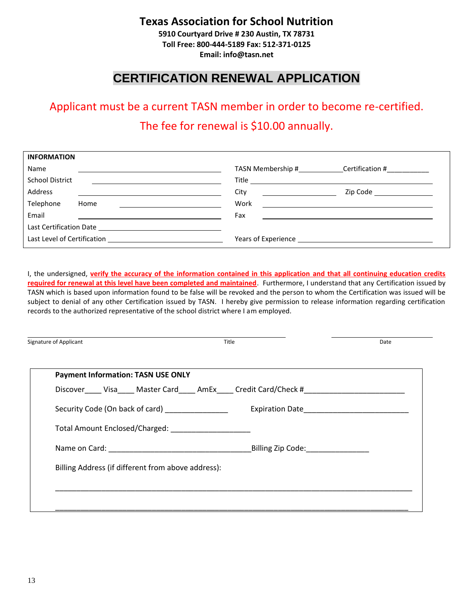## **Texas Association for School Nutrition**

**5910 Courtyard Drive # 230 Austin, TX 78731 Toll Free: 800-444-5189 Fax: 512-371-0125 Email: info@tasn.net**

## **CERTIFICATION RENEWAL APPLICATION**

## Applicant must be a current TASN member in order to become re-certified. The fee for renewal is \$10.00 annually.

| <b>INFORMATION</b>                                                                                                                                                                                                             |                                                           |                                                                                                                                                                                                                                      |
|--------------------------------------------------------------------------------------------------------------------------------------------------------------------------------------------------------------------------------|-----------------------------------------------------------|--------------------------------------------------------------------------------------------------------------------------------------------------------------------------------------------------------------------------------------|
| Name                                                                                                                                                                                                                           | TASN Membership #                                         | Certification #                                                                                                                                                                                                                      |
| <b>School District</b>                                                                                                                                                                                                         |                                                           |                                                                                                                                                                                                                                      |
| Address                                                                                                                                                                                                                        | City<br><u> 1989 - John Stein, amerikansk politiker (</u> | Zip Code and the control of the control of the control of the control of the control of the control of the con                                                                                                                       |
| Telephone<br>Home                                                                                                                                                                                                              | Work                                                      | <u> 1989 - Jan Stern Stern Stern Stern Stern Stern Stern Stern Stern Stern Stern Stern Stern Stern Stern Stern Stern Stern Stern Stern Stern Stern Stern Stern Stern Stern Stern Stern Stern Stern Stern Stern Stern Stern Stern</u> |
| Email                                                                                                                                                                                                                          | Fax                                                       |                                                                                                                                                                                                                                      |
| Last Certification Date and the control of the control of the control of the control of the control of the control of the control of the control of the control of the control of the control of the control of the control of |                                                           |                                                                                                                                                                                                                                      |
|                                                                                                                                                                                                                                |                                                           |                                                                                                                                                                                                                                      |

I, the undersigned, **verify the accuracy of the information contained in this application and that all continuing education credits required for renewal at this level have been completed and maintained**. Furthermore, I understand that any Certification issued by TASN which is based upon information found to be false will be revoked and the person to whom the Certification was issued will be subject to denial of any other Certification issued by TASN. I hereby give permission to release information regarding certification records to the authorized representative of the school district where I am employed.

| Signature of Applicant                                                 | Title                                              | Date |  |
|------------------------------------------------------------------------|----------------------------------------------------|------|--|
|                                                                        |                                                    |      |  |
| <b>Payment Information: TASN USE ONLY</b>                              |                                                    |      |  |
|                                                                        | Discover Visa Master Card AmEx Credit Card/Check # |      |  |
| Security Code (On back of card) <b>Security</b> Code (On back of card) |                                                    |      |  |
| Total Amount Enclosed/Charged: _______________________                 |                                                    |      |  |
|                                                                        |                                                    |      |  |
| Billing Address (if different from above address):                     |                                                    |      |  |
|                                                                        |                                                    |      |  |
|                                                                        |                                                    |      |  |
|                                                                        |                                                    |      |  |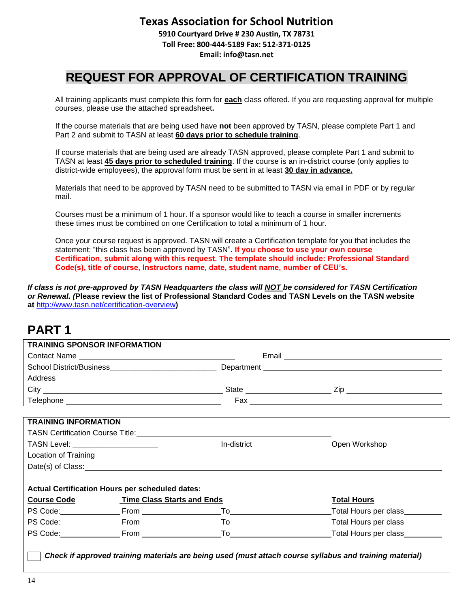### **Texas Association for School Nutrition**

**5910 Courtyard Drive # 230 Austin, TX 78731 Toll Free: 800-444-5189 Fax: 512-371-0125 Email: info@tasn.net**

## **REQUEST FOR APPROVAL OF CERTIFICATION TRAINING**

All training applicants must complete this form for **each** class offered. If you are requesting approval for multiple courses, please use the attached spreadsheet**.**

If the course materials that are being used have **not** been approved by TASN, please complete Part 1 and Part 2 and submit to TASN at least **60 days prior to schedule training**.

If course materials that are being used are already TASN approved, please complete Part 1 and submit to TASN at least **45 days prior to scheduled training**. If the course is an in-district course (only applies to district-wide employees), the approval form must be sent in at least **30 day in advance.**

Materials that need to be approved by TASN need to be submitted to TASN via email in PDF or by regular mail.

Courses must be a minimum of 1 hour. If a sponsor would like to teach a course in smaller increments these times must be combined on one Certification to total a minimum of 1 hour.

Once your course request is approved. TASN will create a Certification template for you that includes the statement: "this class has been approved by TASN". **If you choose to use your own course Certification, submit along with this request. The template should include: Professional Standard Code(s), title of course, Instructors name, date, student name, number of CEU's.** 

*If class is not pre-approved by TASN Headquarters the class will NOT be considered for TASN Certification or Renewal. (***Please review the list of Professional Standard Codes and TASN Levels on the TASN website at** <http://www.tasn.net/certification-overview>**)**

## **PART 1**

|                                     | Contact Name                                           |                                                                                                                                                                                                                                      |                                    |
|-------------------------------------|--------------------------------------------------------|--------------------------------------------------------------------------------------------------------------------------------------------------------------------------------------------------------------------------------------|------------------------------------|
|                                     |                                                        |                                                                                                                                                                                                                                      |                                    |
|                                     |                                                        | Address <b>Management Community and Community</b> and Community and Community and Community and Community and Community                                                                                                              |                                    |
|                                     |                                                        |                                                                                                                                                                                                                                      |                                    |
|                                     |                                                        |                                                                                                                                                                                                                                      |                                    |
| <b>TRAINING INFORMATION</b>         |                                                        |                                                                                                                                                                                                                                      |                                    |
|                                     |                                                        |                                                                                                                                                                                                                                      |                                    |
| TASN Level: _______________________ |                                                        |                                                                                                                                                                                                                                      | Open Workshop<br>Management Spence |
|                                     |                                                        |                                                                                                                                                                                                                                      |                                    |
|                                     |                                                        | Date(s) of Class: <u>example and control and control and control and control and control and control and control and control and control and control and control and control and control and control and control and control and</u> |                                    |
|                                     |                                                        |                                                                                                                                                                                                                                      |                                    |
|                                     | <b>Actual Certification Hours per scheduled dates:</b> |                                                                                                                                                                                                                                      |                                    |
|                                     | Course Code Time Class Starts and Ends                 |                                                                                                                                                                                                                                      | <b>Total Hours</b>                 |
|                                     | PS Code: From From                                     |                                                                                                                                                                                                                                      | Total Hours per class              |
|                                     |                                                        |                                                                                                                                                                                                                                      | Total Hours per class              |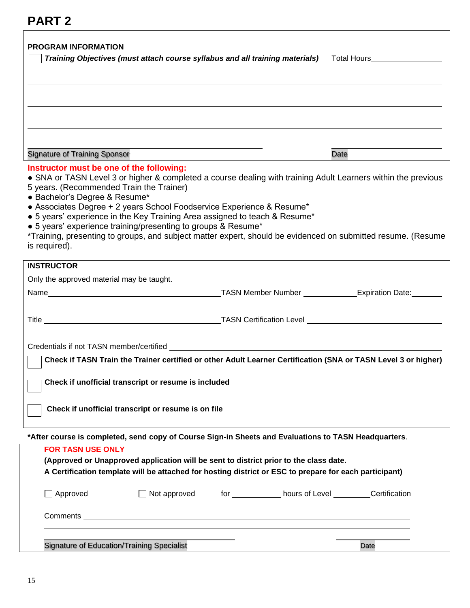## **PART 2**

| <b>PROGRAM INFORMATION</b>                                                                                                             |                                                               | Training Objectives (must attach course syllabus and all training materials)                                                                                                                                                                                         | Total Hours__________________                                                                                |
|----------------------------------------------------------------------------------------------------------------------------------------|---------------------------------------------------------------|----------------------------------------------------------------------------------------------------------------------------------------------------------------------------------------------------------------------------------------------------------------------|--------------------------------------------------------------------------------------------------------------|
|                                                                                                                                        |                                                               |                                                                                                                                                                                                                                                                      |                                                                                                              |
|                                                                                                                                        |                                                               |                                                                                                                                                                                                                                                                      |                                                                                                              |
|                                                                                                                                        |                                                               |                                                                                                                                                                                                                                                                      |                                                                                                              |
|                                                                                                                                        |                                                               |                                                                                                                                                                                                                                                                      |                                                                                                              |
|                                                                                                                                        |                                                               |                                                                                                                                                                                                                                                                      |                                                                                                              |
| <b>Signature of Training Sponsor</b>                                                                                                   |                                                               |                                                                                                                                                                                                                                                                      | Date                                                                                                         |
| Instructor must be one of the following:<br>5 years. (Recommended Train the Trainer)<br>· Bachelor's Degree & Resume*<br>is required). | • 5 years' experience training/presenting to groups & Resume* | • SNA or TASN Level 3 or higher & completed a course dealing with training Adult Learners within the previous<br>• Associates Degree + 2 years School Foodservice Experience & Resume*<br>• 5 years' experience in the Key Training Area assigned to teach & Resume* | *Training, presenting to groups, and subject matter expert, should be evidenced on submitted resume. (Resume |
| <b>INSTRUCTOR</b>                                                                                                                      |                                                               |                                                                                                                                                                                                                                                                      |                                                                                                              |
| Only the approved material may be taught.                                                                                              |                                                               |                                                                                                                                                                                                                                                                      |                                                                                                              |
|                                                                                                                                        |                                                               | Name <b>Mame Solution Contract Contract Contract Contract Contract Contract Contract Contract Contract Contract Contract Contract Contract Contract Contract Contract Contract Contract Contract Contract Contract Contract Cont</b>                                 |                                                                                                              |
|                                                                                                                                        |                                                               |                                                                                                                                                                                                                                                                      |                                                                                                              |
|                                                                                                                                        |                                                               |                                                                                                                                                                                                                                                                      |                                                                                                              |
|                                                                                                                                        |                                                               | Credentials if not TASN member/certified<br>                                                                                                                                                                                                                         |                                                                                                              |
|                                                                                                                                        |                                                               | Check if TASN Train the Trainer certified or other Adult Learner Certification (SNA or TASN Level 3 or higher)                                                                                                                                                       |                                                                                                              |
|                                                                                                                                        | Check if unofficial transcript or resume is included          |                                                                                                                                                                                                                                                                      |                                                                                                              |
|                                                                                                                                        | Check if unofficial transcript or resume is on file           |                                                                                                                                                                                                                                                                      |                                                                                                              |
|                                                                                                                                        |                                                               | *After course is completed, send copy of Course Sign-in Sheets and Evaluations to TASN Headquarters.                                                                                                                                                                 |                                                                                                              |
| <b>FOR TASN USE ONLY</b>                                                                                                               |                                                               | (Approved or Unapproved application will be sent to district prior to the class date.<br>A Certification template will be attached for hosting district or ESC to prepare for each participant)                                                                      |                                                                                                              |
| $\Box$ Approved                                                                                                                        | $\Box$ Not approved                                           | for _____________ hours of Level __________ Certification                                                                                                                                                                                                            |                                                                                                              |
|                                                                                                                                        |                                                               |                                                                                                                                                                                                                                                                      |                                                                                                              |
|                                                                                                                                        |                                                               |                                                                                                                                                                                                                                                                      |                                                                                                              |
|                                                                                                                                        | <b>Signature of Education/Training Specialist</b>             |                                                                                                                                                                                                                                                                      | Date                                                                                                         |